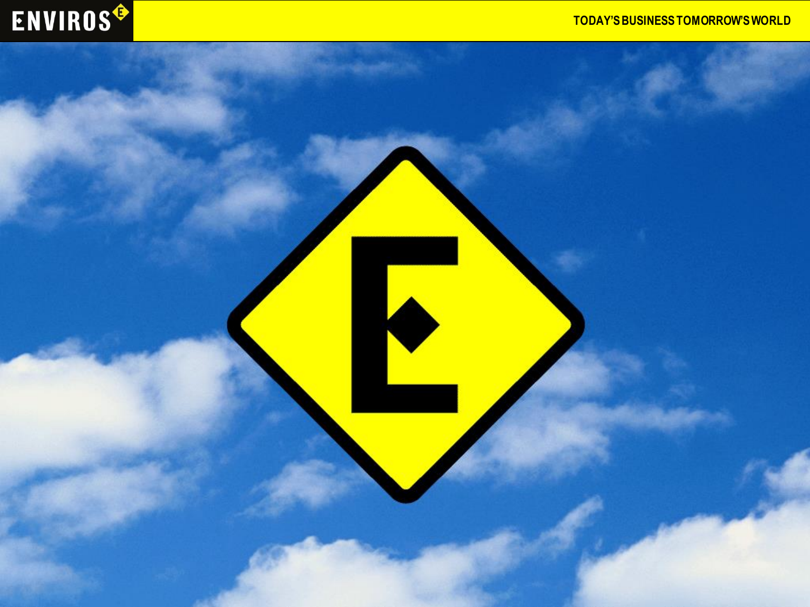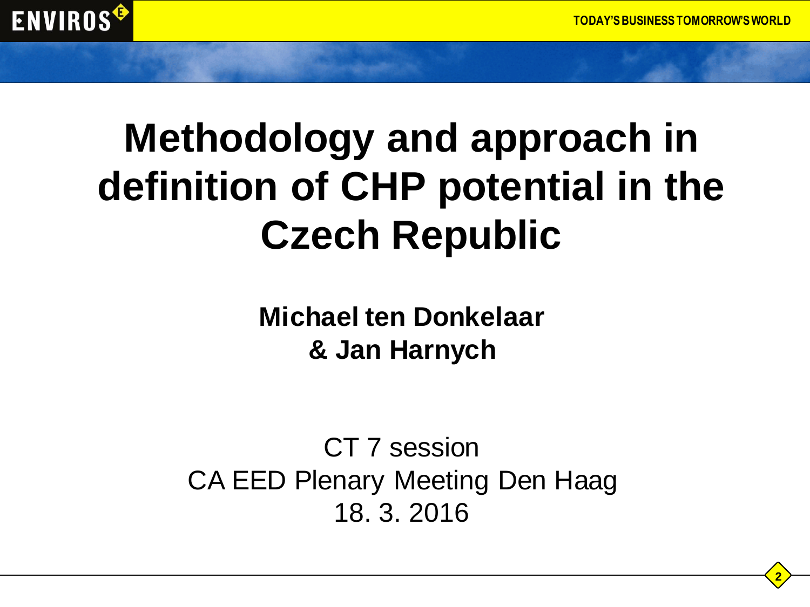

# **Methodology and approach in definition of CHP potential in the Czech Republic**

**Michael ten Donkelaar & Jan Harnych**

CT 7 session CA EED Plenary Meeting Den Haag 18. 3. 2016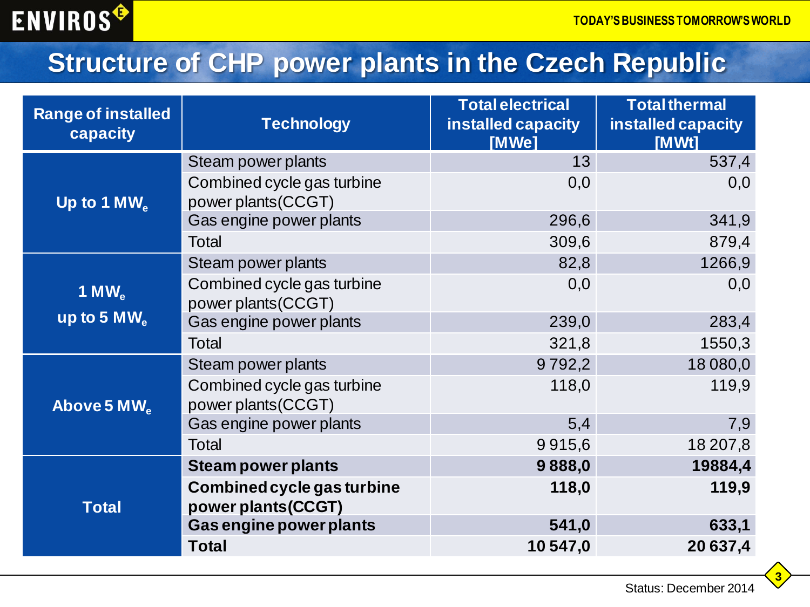#### **Structure of CHP power plants in the Czech Republic**

| <b>Range of installed</b><br>capacity      | <b>Technology</b>                                 | <b>Total electrical</b><br>installed capacity<br>[MWe] | <b>Total thermal</b><br>installed capacity<br>[MWt] |
|--------------------------------------------|---------------------------------------------------|--------------------------------------------------------|-----------------------------------------------------|
|                                            | Steam power plants                                | 13                                                     | 537,4                                               |
| Up to 1 $MW_{\alpha}$                      | Combined cycle gas turbine<br>power plants (CCGT) | 0,0                                                    | 0,0                                                 |
|                                            | Gas engine power plants                           | 296,6                                                  | 341,9                                               |
|                                            | Total                                             | 309,6                                                  | 879,4                                               |
|                                            | Steam power plants                                | 82,8                                                   | 1266,9                                              |
| 1 MW $_{\rm e}$<br>up to 5 MW <sub>e</sub> | Combined cycle gas turbine<br>power plants (CCGT) | 0,0                                                    | 0,0                                                 |
|                                            | Gas engine power plants                           | 239,0                                                  | 283,4                                               |
|                                            | Total                                             | 321,8                                                  | 1550,3                                              |
| Above 5 MW <sub>e</sub>                    | Steam power plants                                | 9792,2                                                 | 18 080,0                                            |
|                                            | Combined cycle gas turbine<br>power plants (CCGT) | 118,0                                                  | 119,9                                               |
|                                            | Gas engine power plants                           | 5,4                                                    | 7,9                                                 |
|                                            | Total                                             | 9915,6                                                 | 18 207,8                                            |
| <b>Total</b>                               | <b>Steam power plants</b>                         | 9888,0                                                 | 19884,4                                             |
|                                            | Combined cycle gas turbine<br>power plants(CCGT)  | 118,0                                                  | 119,9                                               |
|                                            | Gas engine power plants                           | 541,0                                                  | 633,1                                               |
|                                            | <b>Total</b>                                      | 10 547,0                                               | 20 637,4                                            |

**3**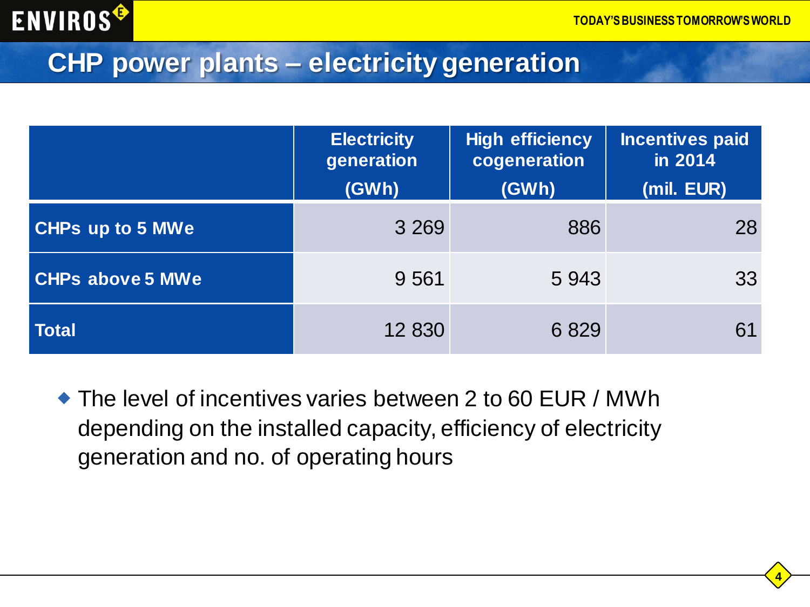

#### **CHP power plants – electricity generation**

|                         | <b>Electricity</b><br>generation<br>(GWh) | High efficiency<br>cogeneration<br>(GWh) | <b>Incentives paid</b><br>in 2014<br>(mil. EUR) |
|-------------------------|-------------------------------------------|------------------------------------------|-------------------------------------------------|
| <b>CHPs up to 5 MWe</b> | 3 2 6 9                                   | 886                                      | 28                                              |
| <b>CHPs above 5 MWe</b> | 9 5 61                                    | 5943                                     | 33                                              |
| <b>Total</b>            | 12 830                                    | 6829                                     | 61                                              |

◆ The level of incentives varies between 2 to 60 EUR / MWh depending on the installed capacity, efficiency of electricity generation and no. of operating hours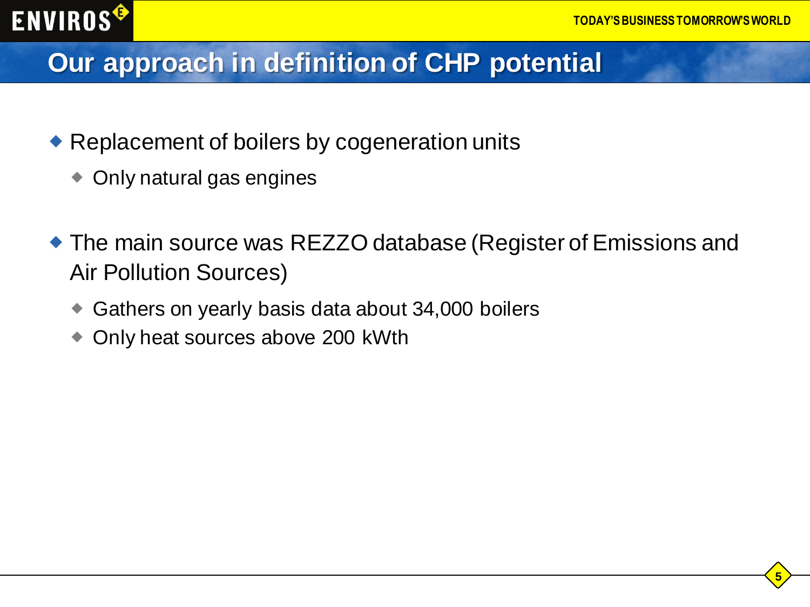### **Our approach in definition of CHP potential**

- ◆ Replacement of boilers by cogeneration units
	- ◆ Only natural gas engines
- The main source was REZZO database (Register of Emissions and Air Pollution Sources)
	- Gathers on yearly basis data about 34,000 boilers
	- Only heat sources above 200 kWth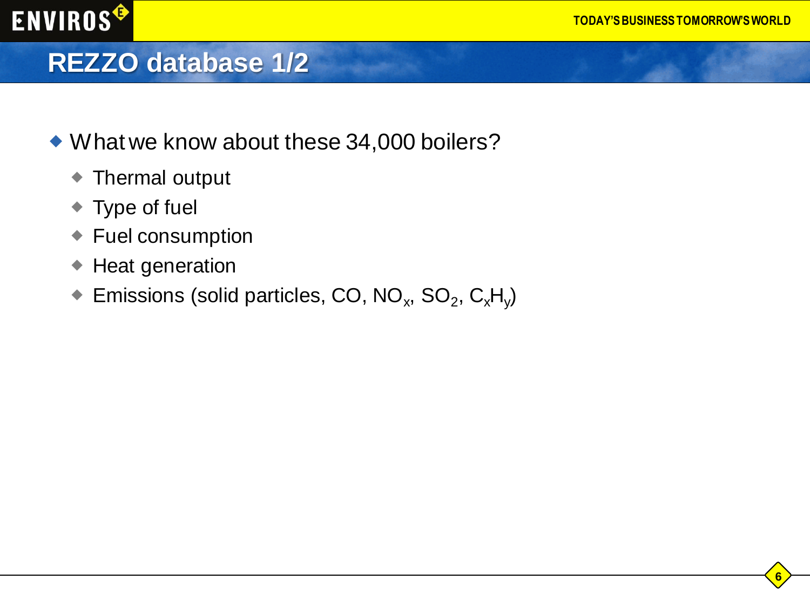### **REZZO database 1/2**

- What we know about these 34,000 boilers?
	- Thermal output
	- ◆ Type of fuel
	- ◆ Fuel consumption
	- ◆ Heat generation
	- $\bullet$  Emissions (solid particles, CO, NO<sub>x</sub>, SO<sub>2</sub>, C<sub>x</sub>H<sub>y</sub>)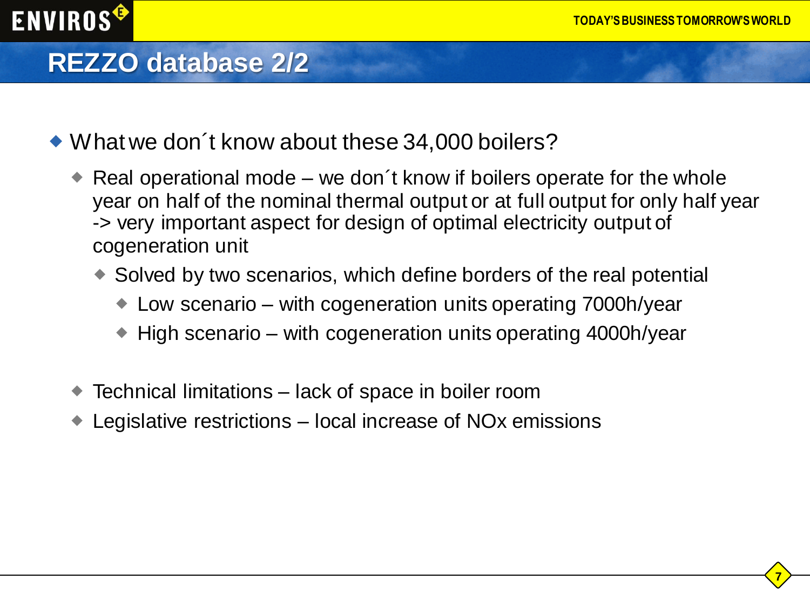### **REZZO database 2/2**

**ENVIROS<sup>®</sup>** 

- What we don´t know about these 34,000 boilers?
	- Real operational mode we don t know if boilers operate for the whole year on half of the nominal thermal output or at full output for only half year -> very important aspect for design of optimal electricity output of cogeneration unit
		- Solved by two scenarios, which define borders of the real potential
			- Low scenario with cogeneration units operating 7000h/year
			- $\blacktriangleright$  High scenario with cogeneration units operating 4000h/year
	- Technical limitations lack of space in boiler room
	- Legislative restrictions local increase of NOx emissions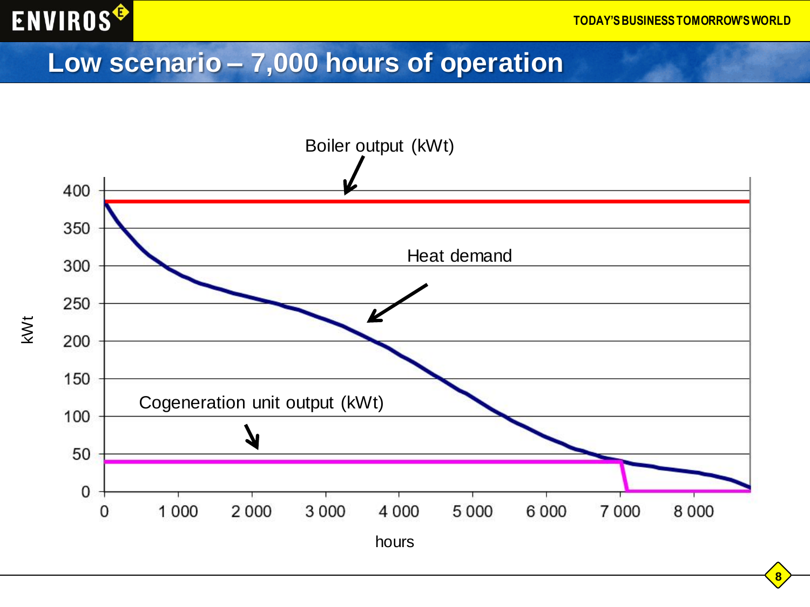

#### **Low scenario – 7,000 hours of operation**



**8**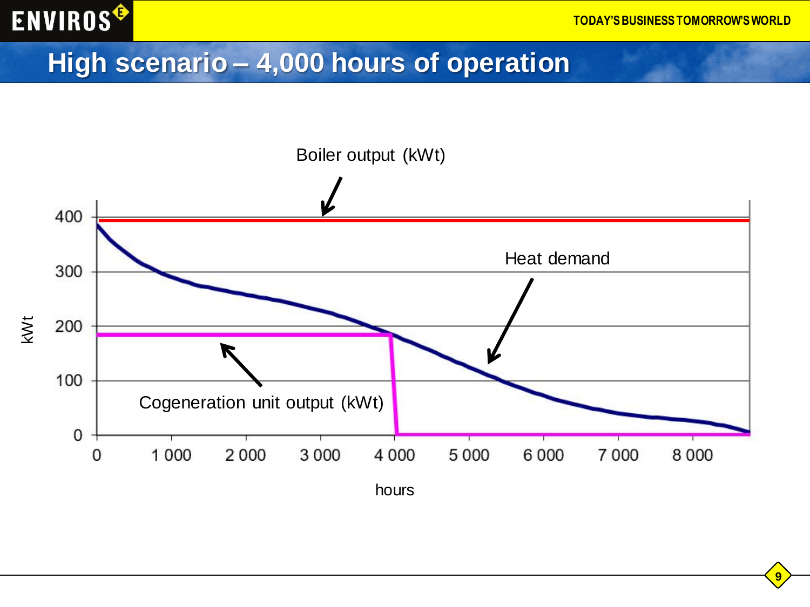![](_page_8_Picture_0.jpeg)

### **High scenario – 4,000 hours of operation**

![](_page_8_Figure_3.jpeg)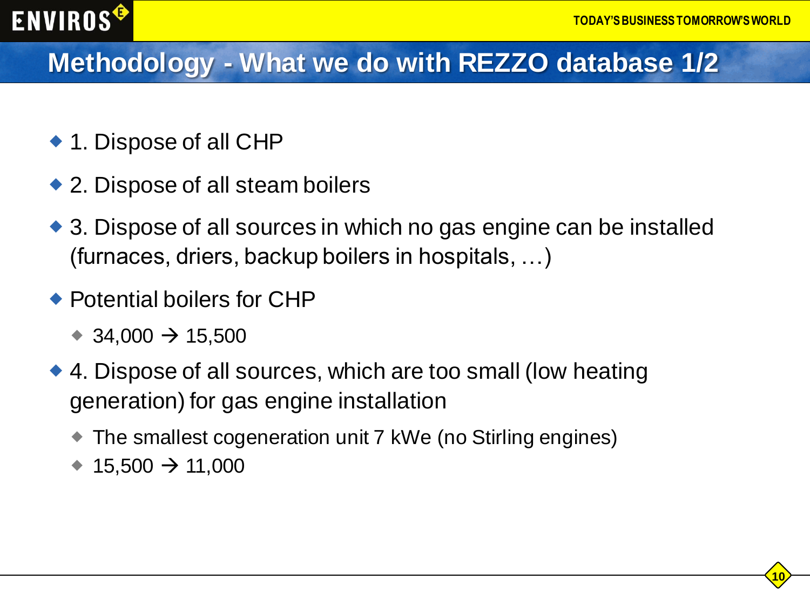### **Methodology - What we do with REZZO database 1/2**

- ◆ 1. Dispose of all CHP
- ◆ 2. Dispose of all steam boilers
- ◆ 3. Dispose of all sources in which no gas engine can be installed (furnaces, driers, backup boilers in hospitals, …)
- ◆ Potential boilers for CHP
	- $\rightarrow$  34,000  $\rightarrow$  15,500
- ◆ 4. Dispose of all sources, which are too small (low heating generation) for gas engine installation
	- The smallest cogeneration unit 7 kWe (no Stirling engines)
	- $\rightarrow$  15,500  $\rightarrow$  11,000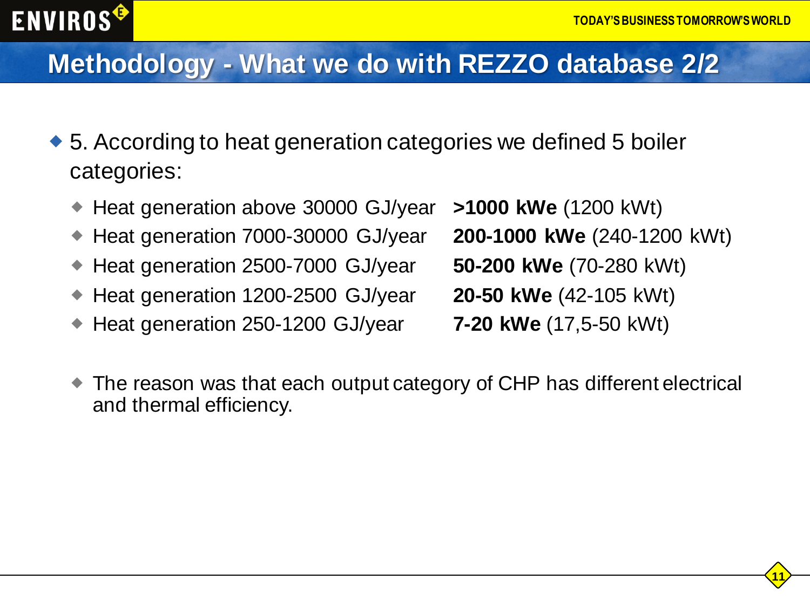## **ENVIROS<sup>G</sup>**

### **Methodology - What we do with REZZO database 2/2**

- ◆ 5. According to heat generation categories we defined 5 boiler categories:
	- ◆ Heat generation above 30000 GJ/year **>1000 kWe** (1200 kWt)
	- Heat generation 7000-30000 GJ/year **200-1000 kWe** (240-1200 kWt)
	- ◆ Heat generation 2500-7000 GJ/year **50-200 kWe** (70-280 kWt)
	- ◆ Heat generation 1200-2500 GJ/year **20-50 kWe** (42-105 kWt)
	- Heat generation 250-1200 GJ/year **7-20 kWe** (17,5-50 kWt)

- 
- 
- 
- 
- The reason was that each output category of CHP has different electrical and thermal efficiency.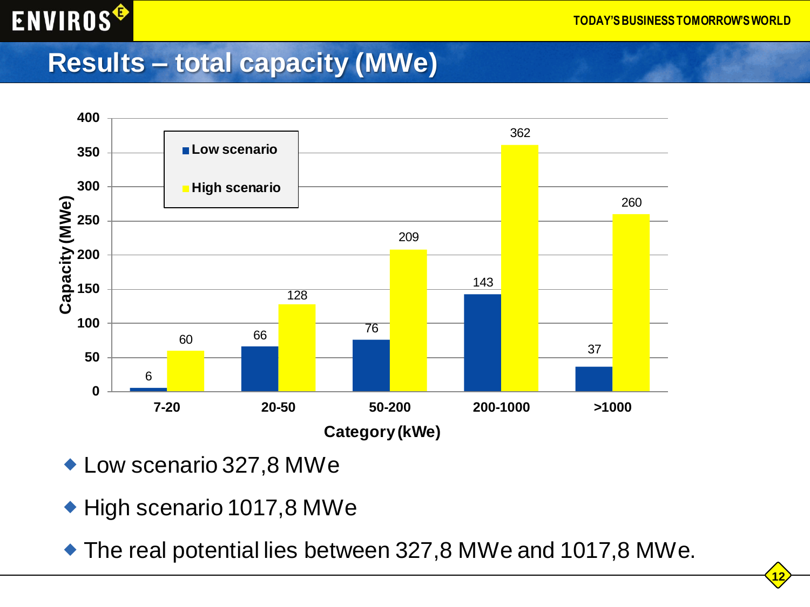#### **Results – total capacity (MWe)**

![](_page_11_Figure_3.jpeg)

- Low scenario 327,8 MWe
- ◆ High scenario 1017,8 MWe
- The real potential lies between 327,8 MWe and 1017,8 MWe.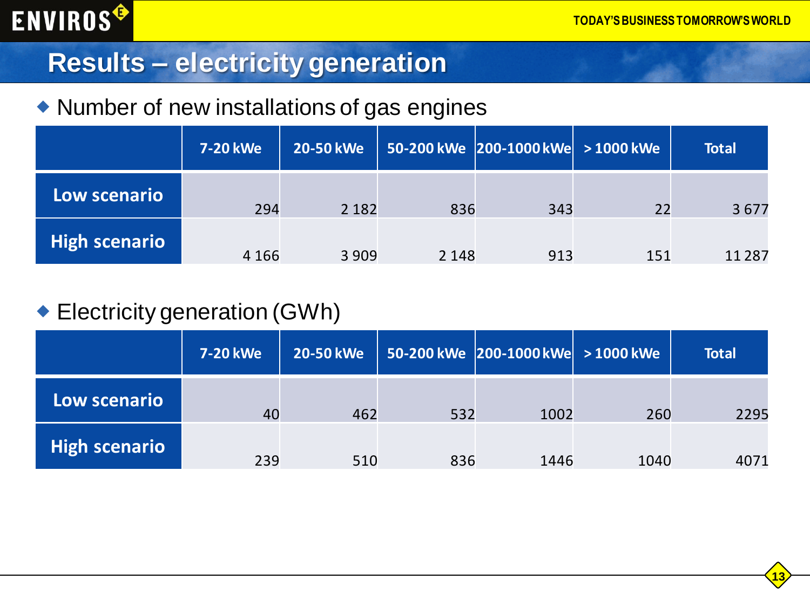#### **Results – electricity generation**

#### Number of new installations of gas engines

|               | 7-20 kWe | <b>20-50 kWe</b> |         | $\mid 50$ -200 kWe $\mid$ 200-1000 kWe $\mid$ > 1000 kWe |     | <b>Total</b> |
|---------------|----------|------------------|---------|----------------------------------------------------------|-----|--------------|
| Low scenario  | 294      | 2 1 8 2          | 836     | 343                                                      | 22  | 3677         |
| High scenario | 4 1 6 6  | 3 9 0 9          | 2 1 4 8 | 913                                                      | 151 | 11 2 8 7     |

#### Electricity generation (GWh)

|               | <b>7-20 kWe</b> | 20-50 kWe |     | $\vert$ 50-200 kWe $\vert$ 200-1000 kWe $\vert$ > 1000 kWe |      | <b>Total</b> |
|---------------|-----------------|-----------|-----|------------------------------------------------------------|------|--------------|
| Low scenario  | 40              | 462       | 532 | 1002                                                       | 260  | 2295         |
| High scenario | 239             | 510       | 836 | 1446                                                       | 1040 | 4071         |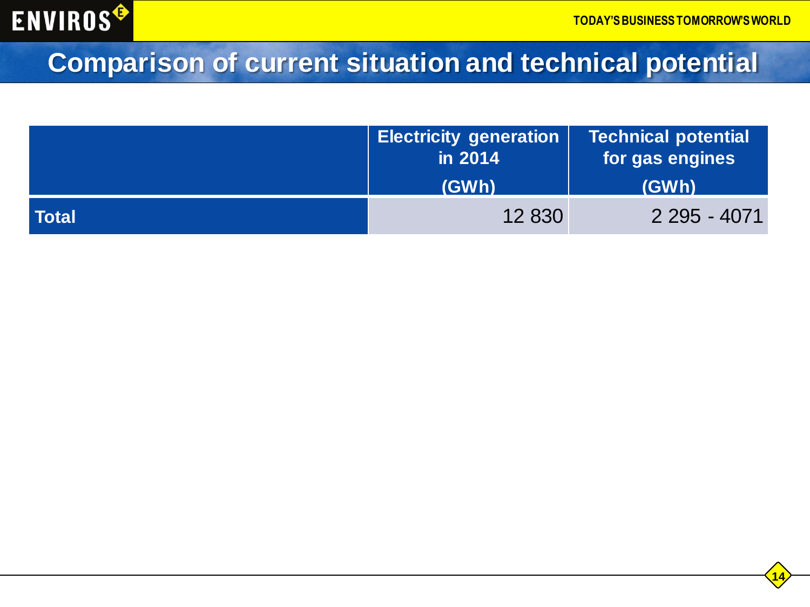![](_page_13_Picture_0.jpeg)

### **Comparison of current situation and technical potential**

|       | <b>Electricity generation</b><br>in 2014 | <b>Technical potential</b><br>for gas engines |  |
|-------|------------------------------------------|-----------------------------------------------|--|
|       | (GWh)                                    | (GWh)                                         |  |
| Total | 12 830                                   | 2 295 - 4071                                  |  |